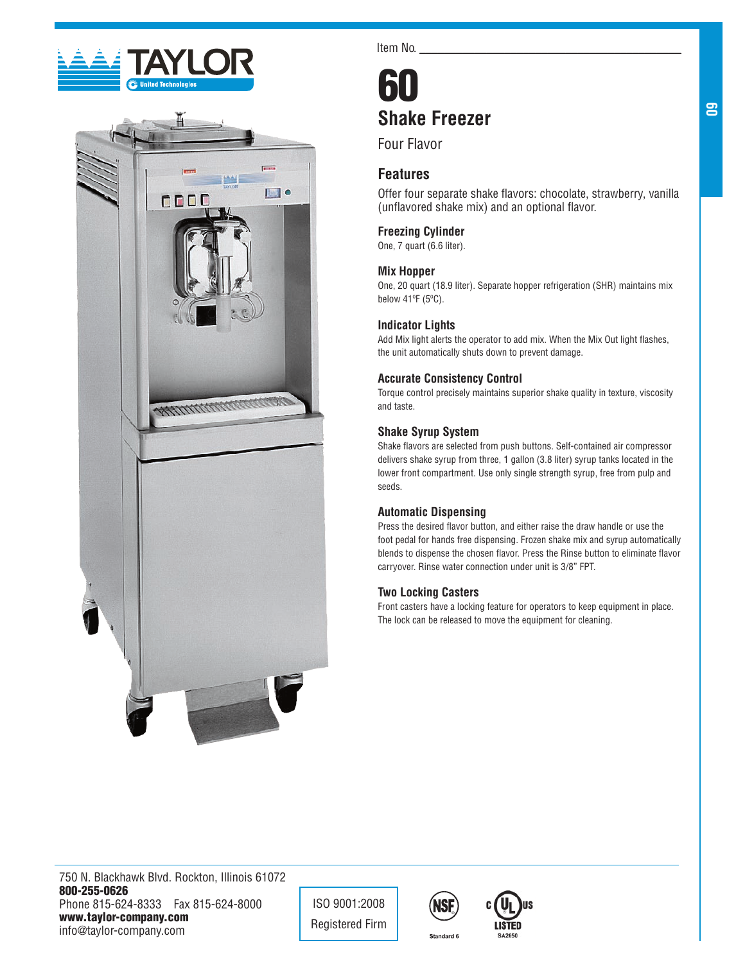



Item No.

# 60 **Shake Freezer**

Four Flavor

# **Features**

Offer four separate shake flavors: chocolate, strawberry, vanilla (unflavored shake mix) and an optional flavor.

# **Freezing Cylinder**

One, 7 quart (6.6 liter).

#### **Mix Hopper**

One, 20 quart (18.9 liter). Separate hopper refrigeration (SHR) maintains mix below 41ºF (5ºC).

#### **Indicator Lights**

Add Mix light alerts the operator to add mix. When the Mix Out light flashes, the unit automatically shuts down to prevent damage.

## **Accurate Consistency Control**

Torque control precisely maintains superior shake quality in texture, viscosity and taste.

#### **Shake Syrup System**

Shake flavors are selected from push buttons. Self-contained air compressor delivers shake syrup from three, 1 gallon (3.8 liter) syrup tanks located in the lower front compartment. Use only single strength syrup, free from pulp and seeds.

#### **Automatic Dispensing**

Press the desired flavor button, and either raise the draw handle or use the foot pedal for hands free dispensing. Frozen shake mix and syrup automatically blends to dispense the chosen flavor. Press the Rinse button to eliminate flavor carryover. Rinse water connection under unit is 3/8" FPT.

#### **Two Locking Casters**

Front casters have a locking feature for operators to keep equipment in place. The lock can be released to move the equipment for cleaning.

750 N. Blackhawk Blvd. Rockton, Illinois 61072 800-255-0626 Phone 815-624-8333 Fax 815-624-8000 www.taylor-company.com info@taylor-company.com

ISO 9001:2008 Registered Firm